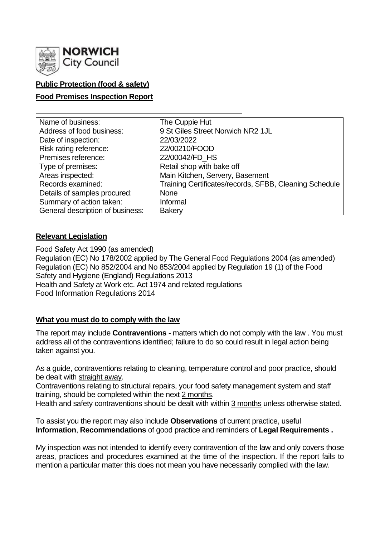

## **Public Protection (food & safety)**

## **Food Premises Inspection Report**

| Name of business:                | The Cuppie Hut                                         |
|----------------------------------|--------------------------------------------------------|
| Address of food business:        | 9 St Giles Street Norwich NR2 1JL                      |
| Date of inspection:              | 22/03/2022                                             |
| Risk rating reference:           | 22/00210/FOOD                                          |
| Premises reference:              | 22/00042/FD_HS                                         |
| Type of premises:                | Retail shop with bake off                              |
| Areas inspected:                 | Main Kitchen, Servery, Basement                        |
| Records examined:                | Training Certificates/records, SFBB, Cleaning Schedule |
| Details of samples procured:     | <b>None</b>                                            |
| Summary of action taken:         | Informal                                               |
| General description of business: | <b>Bakery</b>                                          |

### **Relevant Legislation**

Food Safety Act 1990 (as amended) Regulation (EC) No 178/2002 applied by The General Food Regulations 2004 (as amended) Regulation (EC) No 852/2004 and No 853/2004 applied by Regulation 19 (1) of the Food Safety and Hygiene (England) Regulations 2013 Health and Safety at Work etc. Act 1974 and related regulations Food Information Regulations 2014

### **What you must do to comply with the law**

The report may include **Contraventions** - matters which do not comply with the law . You must address all of the contraventions identified; failure to do so could result in legal action being taken against you.

As a guide, contraventions relating to cleaning, temperature control and poor practice, should be dealt with straight away.

Contraventions relating to structural repairs, your food safety management system and staff training, should be completed within the next 2 months.

Health and safety contraventions should be dealt with within 3 months unless otherwise stated.

To assist you the report may also include **Observations** of current practice, useful **Information**, **Recommendations** of good practice and reminders of **Legal Requirements .**

My inspection was not intended to identify every contravention of the law and only covers those areas, practices and procedures examined at the time of the inspection. If the report fails to mention a particular matter this does not mean you have necessarily complied with the law.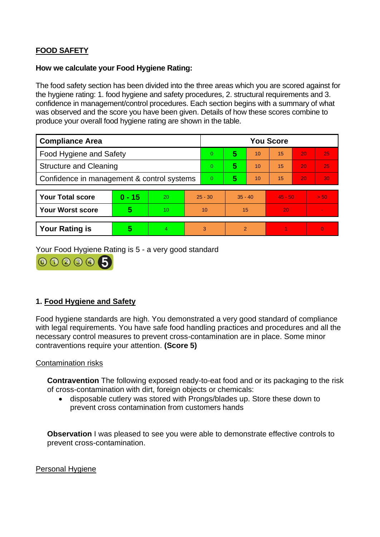# **FOOD SAFETY**

#### **How we calculate your Food Hygiene Rating:**

The food safety section has been divided into the three areas which you are scored against for the hygiene rating: 1. food hygiene and safety procedures, 2. structural requirements and 3. confidence in management/control procedures. Each section begins with a summary of what was observed and the score you have been given. Details of how these scores combine to produce your overall food hygiene rating are shown in the table.

| <b>Compliance Area</b>                     |          |    | <b>You Score</b> |          |                |    |           |    |                |  |
|--------------------------------------------|----------|----|------------------|----------|----------------|----|-----------|----|----------------|--|
| <b>Food Hygiene and Safety</b>             |          |    |                  | $\Omega$ | 5              | 10 | 15        | 20 | 25             |  |
| <b>Structure and Cleaning</b>              |          |    | $\Omega$         | 5        | 10             | 15 | 20        | 25 |                |  |
| Confidence in management & control systems |          |    | $\Omega$         | 5        | 10             | 15 | 20        | 30 |                |  |
|                                            |          |    |                  |          |                |    |           |    |                |  |
| <b>Your Total score</b>                    | $0 - 15$ | 20 | $25 - 30$        |          | $35 - 40$      |    | $45 - 50$ |    | > 50           |  |
| <b>Your Worst score</b>                    | 5        | 10 | 10               |          | 15             |    | 20        |    | $\blacksquare$ |  |
|                                            |          |    |                  |          |                |    |           |    |                |  |
| <b>Your Rating is</b>                      | 5        | 4  |                  | 3        | $\overline{2}$ |    |           |    | $\overline{0}$ |  |

Your Food Hygiene Rating is 5 - a very good standard



## **1. Food Hygiene and Safety**

Food hygiene standards are high. You demonstrated a very good standard of compliance with legal requirements. You have safe food handling practices and procedures and all the necessary control measures to prevent cross-contamination are in place. Some minor contraventions require your attention. **(Score 5)**

### Contamination risks

**Contravention** The following exposed ready-to-eat food and or its packaging to the risk of cross-contamination with dirt, foreign objects or chemicals:

• disposable cutlery was stored with Prongs/blades up. Store these down to prevent cross contamination from customers hands

**Observation** I was pleased to see you were able to demonstrate effective controls to prevent cross-contamination.

Personal Hygiene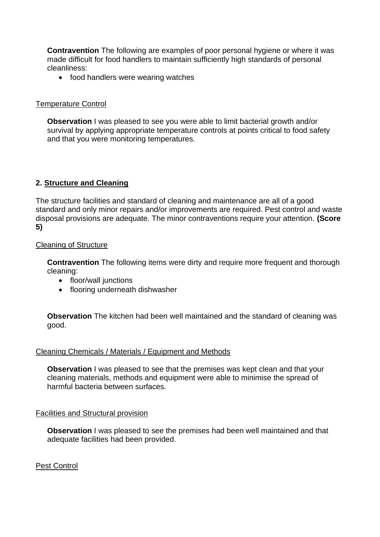**Contravention** The following are examples of poor personal hygiene or where it was made difficult for food handlers to maintain sufficiently high standards of personal cleanliness:

• food handlers were wearing watches

## Temperature Control

**Observation I** was pleased to see you were able to limit bacterial growth and/or survival by applying appropriate temperature controls at points critical to food safety and that you were monitoring temperatures.

## **2. Structure and Cleaning**

The structure facilities and standard of cleaning and maintenance are all of a good standard and only minor repairs and/or improvements are required. Pest control and waste disposal provisions are adequate. The minor contraventions require your attention. **(Score 5)**

## Cleaning of Structure

**Contravention** The following items were dirty and require more frequent and thorough cleaning:

- floor/wall junctions
- flooring underneath dishwasher

**Observation** The kitchen had been well maintained and the standard of cleaning was good.

### Cleaning Chemicals / Materials / Equipment and Methods

**Observation** I was pleased to see that the premises was kept clean and that your cleaning materials, methods and equipment were able to minimise the spread of harmful bacteria between surfaces.

### Facilities and Structural provision

**Observation** I was pleased to see the premises had been well maintained and that adequate facilities had been provided.

### Pest Control